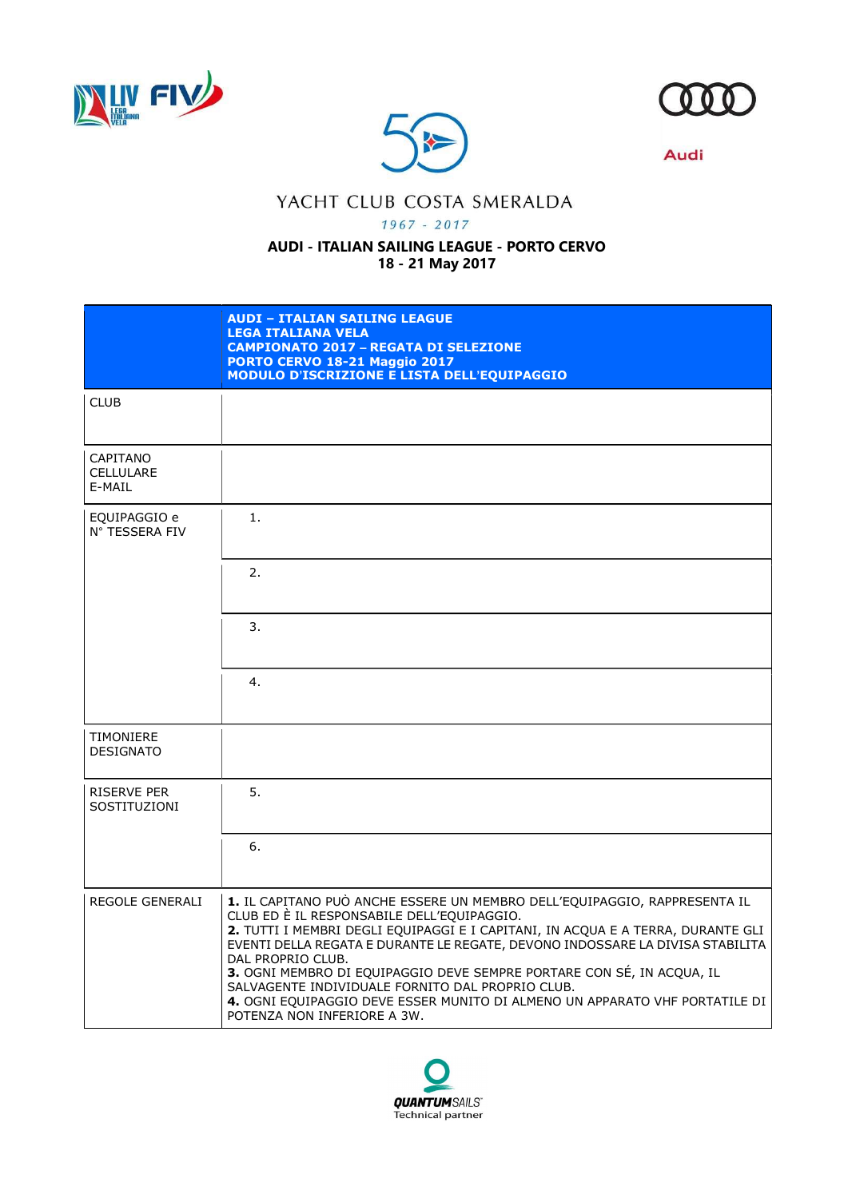





**Audi** 

## YACHT CLUB COSTA SMERALDA

 $1967 - 2017$ 

## AUDI - ITALIAN SAILING LEAGUE - PORTO CERVO 18 - 21 May 2017

|                                        | <b>AUDI - ITALIAN SAILING LEAGUE</b><br><b>LEGA ITALIANA VELA</b><br><b>CAMPIONATO 2017 - REGATA DI SELEZIONE</b><br>PORTO CERVO 18-21 Maggio 2017<br><b>MODULO D'ISCRIZIONE E LISTA DELL'EQUIPAGGIO</b>                                                                                                                                                                                                                                                                                                                                                    |
|----------------------------------------|-------------------------------------------------------------------------------------------------------------------------------------------------------------------------------------------------------------------------------------------------------------------------------------------------------------------------------------------------------------------------------------------------------------------------------------------------------------------------------------------------------------------------------------------------------------|
| <b>CLUB</b>                            |                                                                                                                                                                                                                                                                                                                                                                                                                                                                                                                                                             |
| CAPITANO<br><b>CELLULARE</b><br>E-MAIL |                                                                                                                                                                                                                                                                                                                                                                                                                                                                                                                                                             |
| EQUIPAGGIO e<br>N° TESSERA FIV         | 1.                                                                                                                                                                                                                                                                                                                                                                                                                                                                                                                                                          |
|                                        | 2.                                                                                                                                                                                                                                                                                                                                                                                                                                                                                                                                                          |
|                                        | 3.                                                                                                                                                                                                                                                                                                                                                                                                                                                                                                                                                          |
|                                        | 4.                                                                                                                                                                                                                                                                                                                                                                                                                                                                                                                                                          |
| TIMONIERE<br><b>DESIGNATO</b>          |                                                                                                                                                                                                                                                                                                                                                                                                                                                                                                                                                             |
| <b>RISERVE PER</b><br>SOSTITUZIONI     | 5.                                                                                                                                                                                                                                                                                                                                                                                                                                                                                                                                                          |
|                                        | 6.                                                                                                                                                                                                                                                                                                                                                                                                                                                                                                                                                          |
| <b>REGOLE GENERALI</b>                 | 1. IL CAPITANO PUÒ ANCHE ESSERE UN MEMBRO DELL'EQUIPAGGIO, RAPPRESENTA IL<br>CLUB ED È IL RESPONSABILE DELL'EQUIPAGGIO.<br>2. TUTTI I MEMBRI DEGLI EQUIPAGGI E I CAPITANI, IN ACQUA E A TERRA, DURANTE GLI<br>EVENTI DELLA REGATA E DURANTE LE REGATE, DEVONO INDOSSARE LA DIVISA STABILITA<br>DAL PROPRIO CLUB.<br>3. OGNI MEMBRO DI EQUIPAGGIO DEVE SEMPRE PORTARE CON SÉ, IN ACQUA, IL<br>SALVAGENTE INDIVIDUALE FORNITO DAL PROPRIO CLUB.<br>4. OGNI EQUIPAGGIO DEVE ESSER MUNITO DI ALMENO UN APPARATO VHF PORTATILE DI<br>POTENZA NON INFERIORE A 3W. |